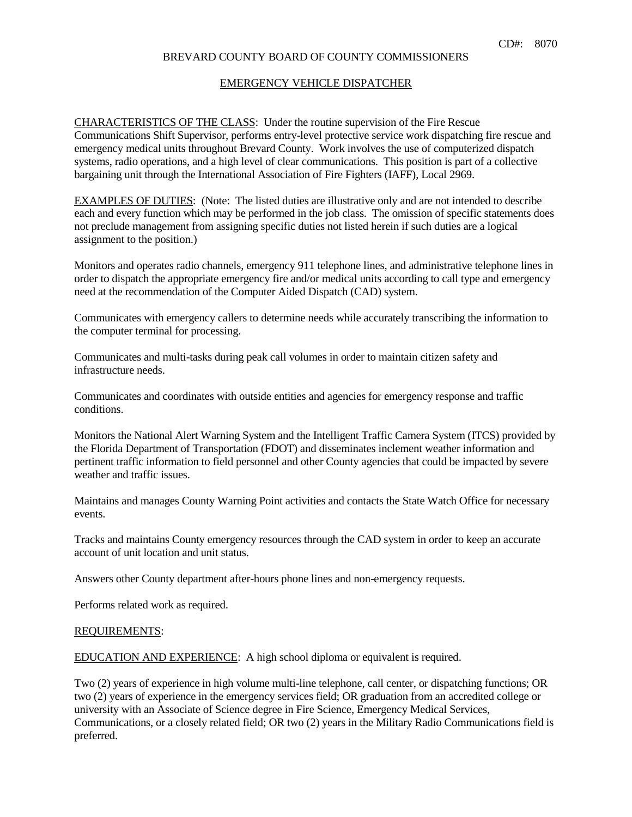# BREVARD COUNTY BOARD OF COUNTY COMMISSIONERS

### EMERGENCY VEHICLE DISPATCHER

 CHARACTERISTICS OF THE CLASS: Under the routine supervision of the Fire Rescue Communications Shift Supervisor, performs entry-level protective service work dispatching fire rescue and emergency medical units throughout Brevard County. Work involves the use of computerized dispatch systems, radio operations, and a high level of clear communications. This position is part of a collective bargaining unit through the International Association of Fire Fighters (IAFF), Local 2969.

EXAMPLES OF DUTIES: (Note: The listed duties are illustrative only and are not intended to describe each and every function which may be performed in the job class. The omission of specific statements does not preclude management from assigning specific duties not listed herein if such duties are a logical assignment to the position.)

 Monitors and operates radio channels, emergency 911 telephone lines, and administrative telephone lines in order to dispatch the appropriate emergency fire and/or medical units according to call type and emergency need at the recommendation of the Computer Aided Dispatch (CAD) system.

 Communicates with emergency callers to determine needs while accurately transcribing the information to the computer terminal for processing.

 Communicates and multi-tasks during peak call volumes in order to maintain citizen safety and infrastructure needs.

 Communicates and coordinates with outside entities and agencies for emergency response and traffic conditions.

 Monitors the National Alert Warning System and the Intelligent Traffic Camera System (ITCS) provided by the Florida Department of Transportation (FDOT) and disseminates inclement weather information and pertinent traffic information to field personnel and other County agencies that could be impacted by severe weather and traffic issues.

 Maintains and manages County Warning Point activities and contacts the State Watch Office for necessary events.

 Tracks and maintains County emergency resources through the CAD system in order to keep an accurate account of unit location and unit status.

Answers other County department after-hours phone lines and non-emergency requests.

Performs related work as required.

#### REQUIREMENTS:

EDUCATION AND EXPERIENCE: A high school diploma or equivalent is required.

 Two (2) years of experience in high volume multi-line telephone, call center, or dispatching functions; OR two (2) years of experience in the emergency services field; OR graduation from an accredited college or university with an Associate of Science degree in Fire Science, Emergency Medical Services, Communications, or a closely related field; OR two (2) years in the Military Radio Communications field is preferred.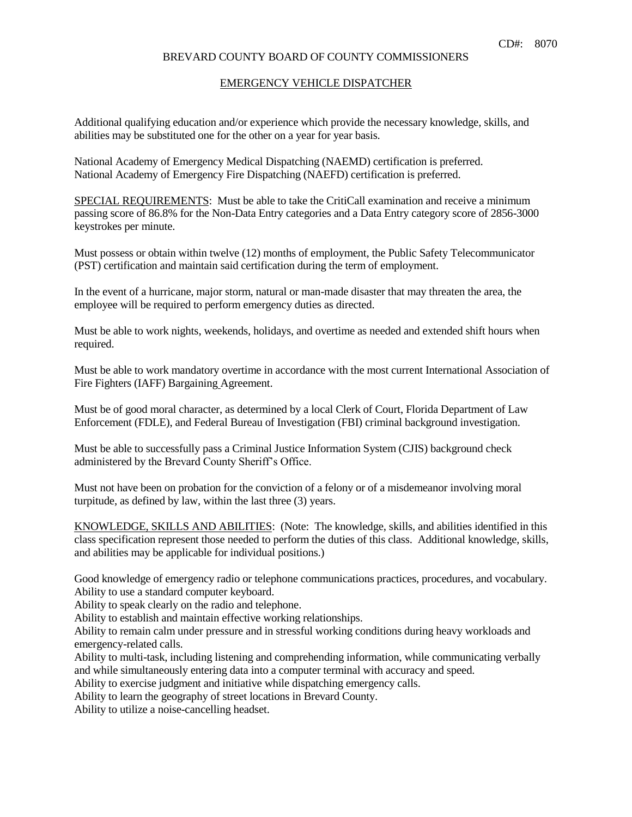# BREVARD COUNTY BOARD OF COUNTY COMMISSIONERS

#### EMERGENCY VEHICLE DISPATCHER

 Additional qualifying education and/or experience which provide the necessary knowledge, skills, and abilities may be substituted one for the other on a year for year basis.

 National Academy of Emergency Medical Dispatching (NAEMD) certification is preferred. National Academy of Emergency Fire Dispatching (NAEFD) certification is preferred.

SPECIAL REQUIREMENTS: Must be able to take the CritiCall examination and receive a minimum passing score of 86.8% for the Non-Data Entry categories and a Data Entry category score of 2856-3000 keystrokes per minute.

 Must possess or obtain within twelve (12) months of employment, the Public Safety Telecommunicator (PST) certification and maintain said certification during the term of employment.

 In the event of a hurricane, major storm, natural or man-made disaster that may threaten the area, the employee will be required to perform emergency duties as directed.

 Must be able to work nights, weekends, holidays, and overtime as needed and extended shift hours when required.

 Must be able to work mandatory overtime in accordance with the most current International Association of Fire Fighters (IAFF) Bargaining Agreement.

 Must be of good moral character, as determined by a local Clerk of Court, Florida Department of Law Enforcement (FDLE), and Federal Bureau of Investigation (FBI) criminal background investigation.

 Must be able to successfully pass a Criminal Justice Information System (CJIS) background check administered by the Brevard County Sheriff's Office.

 Must not have been on probation for the conviction of a felony or of a misdemeanor involving moral turpitude, as defined by law, within the last three (3) years.

 KNOWLEDGE, SKILLS AND ABILITIES: (Note: The knowledge, skills, and abilities identified in this class specification represent those needed to perform the duties of this class. Additional knowledge, skills, and abilities may be applicable for individual positions.)

 Good knowledge of emergency radio or telephone communications practices, procedures, and vocabulary. Ability to use a standard computer keyboard.

Ability to speak clearly on the radio and telephone.

Ability to establish and maintain effective working relationships.

 Ability to remain calm under pressure and in stressful working conditions during heavy workloads and emergency-related calls.

 Ability to multi-task, including listening and comprehending information, while communicating verbally and while simultaneously entering data into a computer terminal with accuracy and speed.

Ability to exercise judgment and initiative while dispatching emergency calls.

Ability to learn the geography of street locations in Brevard County.

Ability to utilize a noise-cancelling headset.